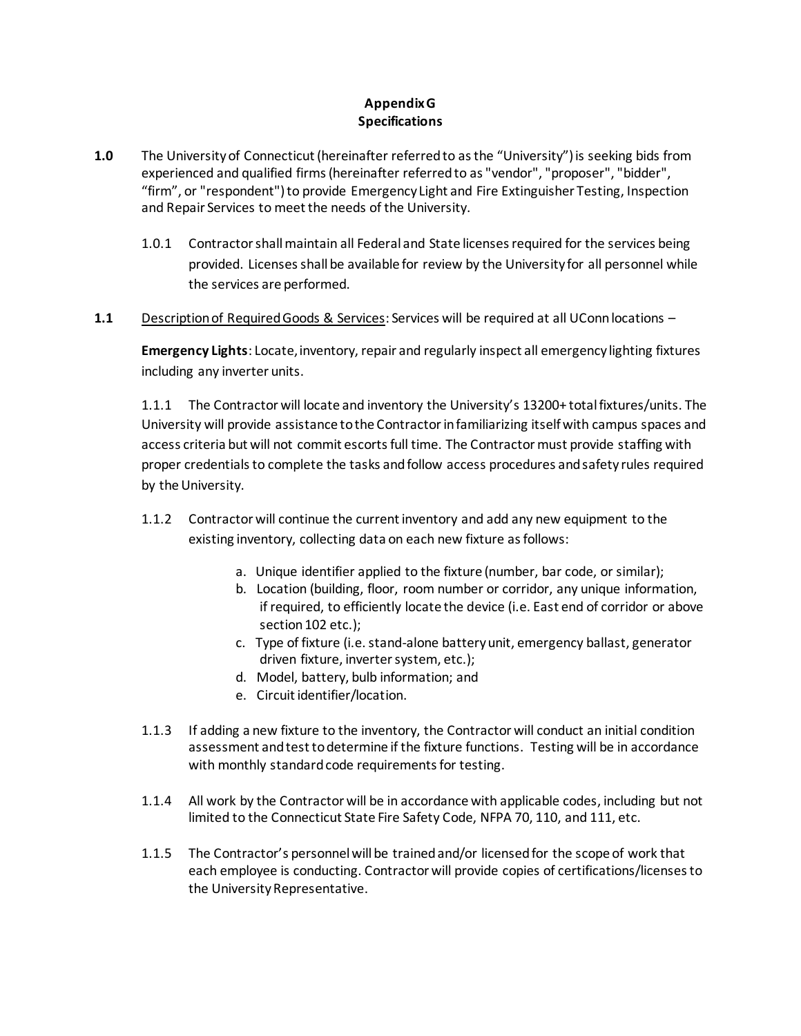# **Appendix G Specifications**

- **1.0** The University of Connecticut (hereinafter referred to as the "University") is seeking bids from experienced and qualified firms (hereinafter referred to as "vendor", "proposer", "bidder", "firm", or "respondent") to provide Emergency Light and Fire Extinguisher Testing, Inspection and Repair Services to meet the needs of the University.
	- 1.0.1 Contractor shall maintain all Federal and State licenses required for the services being provided. Licenses shall be available for review by the University for all personnel while the services are performed.
- **1.1** Description of Required Goods & Services: Services will be required at all UConn locations –

**Emergency Lights**: Locate, inventory, repair and regularly inspect all emergency lighting fixtures including any inverter units.

1.1.1 The Contractor will locate and inventory the University's 13200+ total fixtures/units. The University will provide assistance to the Contractor in familiarizing itself with campus spaces and access criteria but will not commit escorts full time. The Contractor must provide staffing with proper credentials to complete the tasks and follow access procedures and safety rules required by the University.

- 1.1.2 Contractor will continue the current inventory and add any new equipment to the existing inventory, collecting data on each new fixture as follows:
	- a. Unique identifier applied to the fixture (number, bar code, or similar);
	- b. Location (building, floor, room number or corridor, any unique information, if required, to efficiently locate the device (i.e. East end of corridor or above section 102 etc.);
	- c. Type of fixture (i.e. stand-alone battery unit, emergency ballast, generator driven fixture, inverter system, etc.);
	- d. Model, battery, bulb information; and
	- e. Circuit identifier/location.
- 1.1.3 If adding a new fixture to the inventory, the Contractor will conduct an initial condition assessment and test to determine if the fixture functions. Testing will be in accordance with monthly standard code requirements for testing.
- 1.1.4 All work by the Contractor will be in accordance with applicable codes, including but not limited to the Connecticut State Fire Safety Code, NFPA 70, 110, and 111, etc.
- 1.1.5 The Contractor's personnel will be trained and/or licensed for the scope of work that each employee is conducting. Contractor will provide copies of certifications/licenses to the University Representative.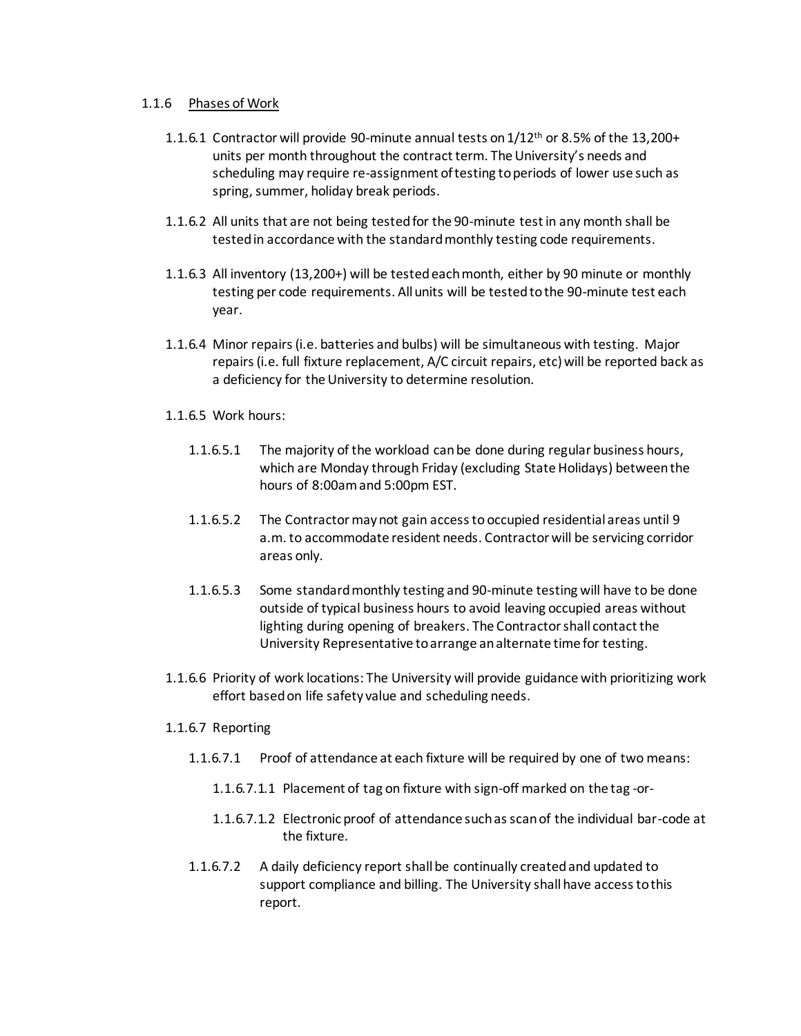### 1.1.6 Phases of Work

- 1.1.6.1 Contractor will provide 90-minute annual tests on  $1/12$ <sup>th</sup> or 8.5% of the 13,200+ units per month throughout the contract term. The University's needs and scheduling may require re-assignment of testing to periods of lower use such as spring, summer, holiday break periods.
- 1.1.6.2 All units that are not being tested for the 90-minute test in any month shall be tested in accordance with the standard monthly testing code requirements.
- 1.1.6.3 All inventory (13,200+) will be tested each month, either by 90 minute or monthly testing per code requirements. All units will be tested to the 90-minute test each year.
- 1.1.6.4 Minor repairs (i.e. batteries and bulbs) will be simultaneous with testing. Major repairs (i.e. full fixture replacement, A/C circuit repairs, etc) will be reported back as a deficiency for the University to determine resolution.
- 1.1.6.5 Work hours:
	- 1.1.6.5.1 The majority of the workload can be done during regular business hours, which are Monday through Friday (excluding State Holidays) between the hours of 8:00am and 5:00pm EST.
	- 1.1.6.5.2 The Contractor may not gain access to occupied residential areas until 9 a.m. to accommodate resident needs. Contractor will be servicing corridor areas only.
	- 1.1.6.5.3 Some standard monthly testing and 90-minute testing will have to be done outside of typical business hours to avoid leaving occupied areas without lighting during opening of breakers. The Contractor shall contact the University Representative to arrange an alternate time for testing.
- 1.1.6.6 Priority of work locations: The University will provide guidance with prioritizing work effort based on life safety value and scheduling needs.

#### 1.1.6.7 Reporting

- 1.1.6.7.1 Proof of attendance at each fixture will be required by one of two means:
	- 1.1.6.7.1.1 Placement of tag on fixture with sign-off marked on the tag -or-
	- 1.1.6.7.1.2 Electronic proof of attendance such as scan of the individual bar-code at the fixture.
- 1.1.6.7.2 A daily deficiency report shall be continually created and updated to support compliance and billing. The University shall have access to this report.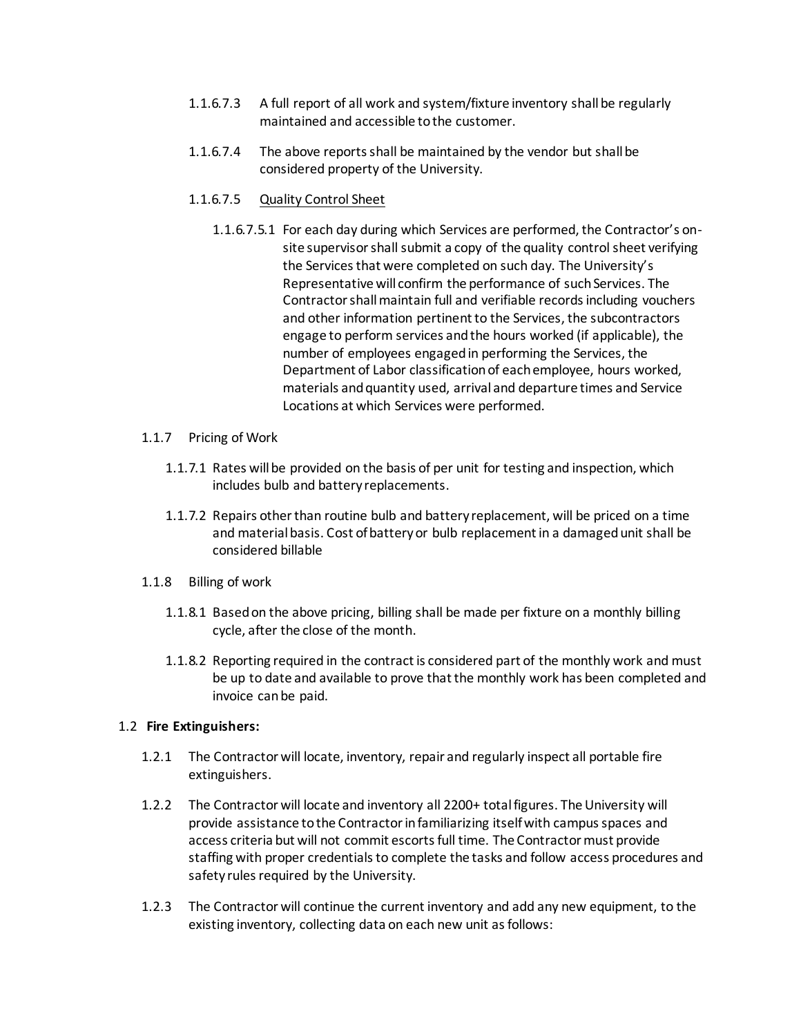- 1.1.6.7.3 A full report of all work and system/fixture inventory shall be regularly maintained and accessible to the customer.
- 1.1.6.7.4 The above reports shall be maintained by the vendor but shall be considered property of the University.

### 1.1.6.7.5 Quality Control Sheet

- 1.1.6.7.5.1 For each day during which Services are performed, the Contractor's onsite supervisor shall submit a copy of the quality control sheet verifying the Services that were completed on such day. The University's Representative will confirm the performance of such Services. The Contractor shall maintain full and verifiable records including vouchers and other information pertinent to the Services, the subcontractors engage to perform services and the hours worked (if applicable), the number of employees engaged in performing the Services, the Department of Labor classification of each employee, hours worked, materials and quantity used, arrival and departure times and Service Locations at which Services were performed.
- 1.1.7 Pricing of Work
	- 1.1.7.1 Rates will be provided on the basis of per unit for testing and inspection, which includes bulb and battery replacements.
	- 1.1.7.2 Repairs other than routine bulb and battery replacement, will be priced on a time and material basis. Cost of battery or bulb replacement in a damaged unit shall be considered billable
- 1.1.8 Billing of work
	- 1.1.8.1 Based on the above pricing, billing shall be made per fixture on a monthly billing cycle, after the close of the month.
	- 1.1.8.2 Reporting required in the contract is considered part of the monthly work and must be up to date and available to prove that the monthly work has been completed and invoice can be paid.

### 1.2 **Fire Extinguishers:**

- 1.2.1 The Contractor will locate, inventory, repair and regularly inspect all portable fire extinguishers.
- 1.2.2 The Contractor will locate and inventory all 2200+ total figures. The University will provide assistance to the Contractor in familiarizing itself with campus spaces and access criteria but will not commit escorts full time. The Contractor must provide staffing with proper credentials to complete the tasks and follow access procedures and safety rules required by the University.
- 1.2.3 The Contractor will continue the current inventory and add any new equipment, to the existing inventory, collecting data on each new unit as follows: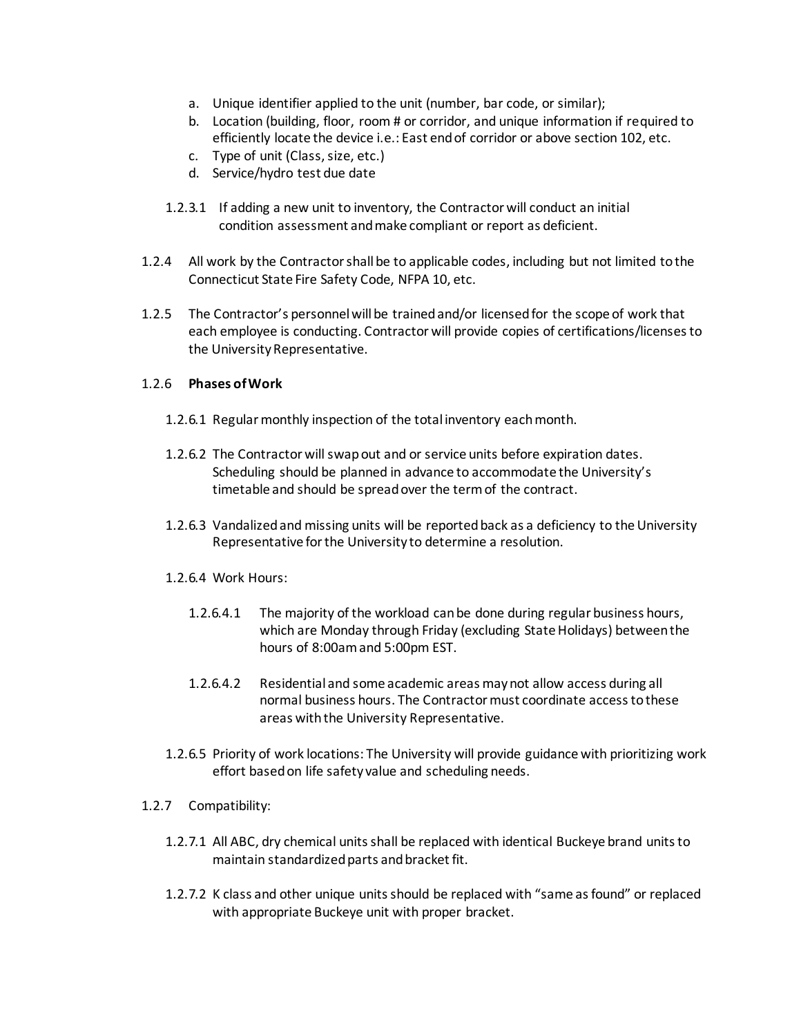- a. Unique identifier applied to the unit (number, bar code, or similar);
- b. Location (building, floor, room # or corridor, and unique information if required to efficiently locate the device i.e.: East end of corridor or above section 102, etc.
- c. Type of unit (Class, size, etc.)
- d. Service/hydro test due date
- 1.2.3.1 If adding a new unit to inventory, the Contractor will conduct an initial condition assessment and make compliant or report as deficient.
- 1.2.4 All work by the Contractor shall be to applicable codes, including but not limited to the Connecticut State Fire Safety Code, NFPA 10, etc.
- 1.2.5 The Contractor's personnel will be trained and/or licensed for the scope of work that each employee is conducting. Contractor will provide copies of certifications/licenses to the University Representative.

# 1.2.6 **Phases of Work**

- 1.2.6.1 Regular monthly inspection of the total inventory each month.
- 1.2.6.2 The Contractor will swap out and or service units before expiration dates. Scheduling should be planned in advance to accommodate the University's timetable and should be spread over the term of the contract.
- 1.2.6.3 Vandalized and missing units will be reported back as a deficiency to the University Representative for the University to determine a resolution.
- 1.2.6.4 Work Hours:
	- 1.2.6.4.1 The majority of the workload can be done during regular business hours, which are Monday through Friday (excluding State Holidays) between the hours of 8:00am and 5:00pm EST.
	- 1.2.6.4.2 Residential and some academic areas may not allow access during all normal business hours. The Contractor must coordinate access to these areas with the University Representative.
- 1.2.6.5 Priority of work locations: The University will provide guidance with prioritizing work effort based on life safety value and scheduling needs.
- 1.2.7 Compatibility:
	- 1.2.7.1 All ABC, dry chemical units shall be replaced with identical Buckeye brand units to maintain standardized parts and bracket fit.
	- 1.2.7.2 K class and other unique units should be replaced with "same as found" or replaced with appropriate Buckeye unit with proper bracket.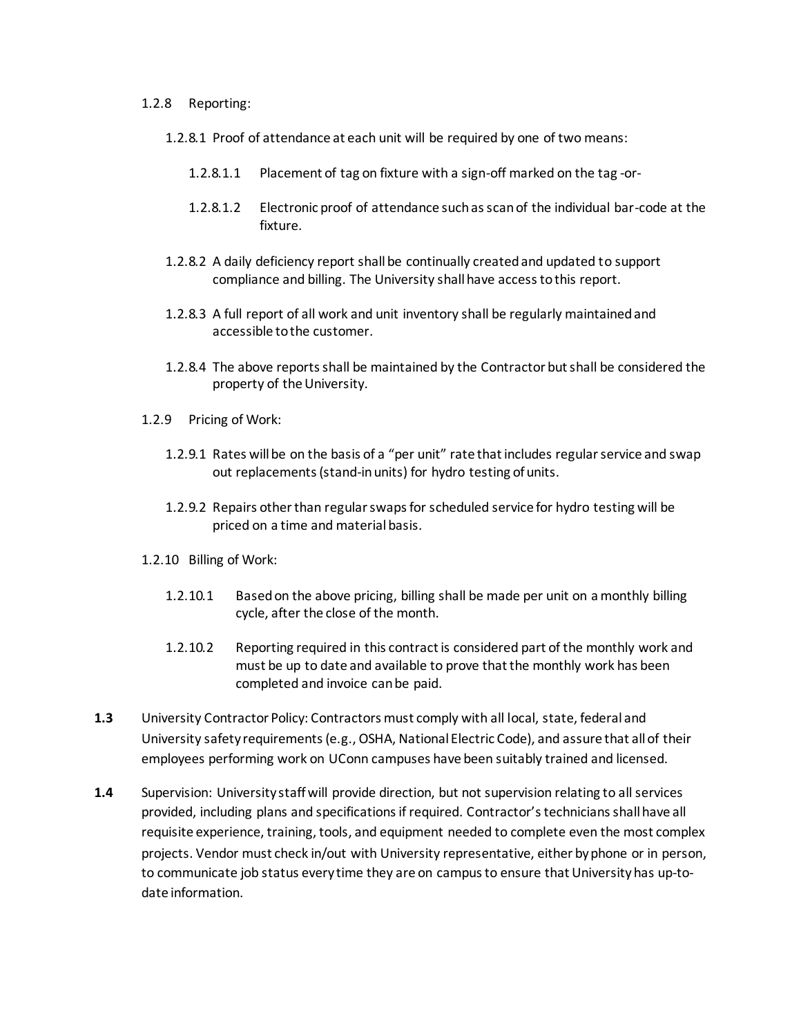#### 1.2.8 Reporting:

- 1.2.8.1 Proof of attendance at each unit will be required by one of two means:
	- 1.2.8.1.1 Placement of tag on fixture with a sign-off marked on the tag -or-
	- 1.2.8.1.2 Electronic proof of attendance such as scan of the individual bar-code at the fixture.
- 1.2.8.2 A daily deficiency report shall be continually created and updated to support compliance and billing. The University shall have access to this report.
- 1.2.8.3 A full report of all work and unit inventory shall be regularly maintained and accessible to the customer.
- 1.2.8.4 The above reports shall be maintained by the Contractor but shall be considered the property of the University.
- 1.2.9 Pricing of Work:
	- 1.2.9.1 Rates will be on the basis of a "per unit" rate that includes regular service and swap out replacements (stand-in units) for hydro testing of units.
	- 1.2.9.2 Repairs other than regular swaps for scheduled service for hydro testing will be priced on a time and material basis.
- 1.2.10 Billing of Work:
	- 1.2.10.1 Based on the above pricing, billing shall be made per unit on a monthly billing cycle, after the close of the month.
	- 1.2.10.2 Reporting required in this contract is considered part of the monthly work and must be up to date and available to prove that the monthly work has been completed and invoice can be paid.
- **1.3** University Contractor Policy: Contractors must comply with all local, state, federal and University safety requirements (e.g., OSHA, National Electric Code), and assure that all of their employees performing work on UConn campuses have been suitably trained and licensed.
- **1.4** Supervision: University staff will provide direction, but not supervision relating to all services provided, including plans and specifications if required. Contractor's technicians shall have all requisite experience, training, tools, and equipment needed to complete even the most complex projects. Vendor must check in/out with University representative, either by phone or in person, to communicate job status every time they are on campus to ensure that University has up-todate information.